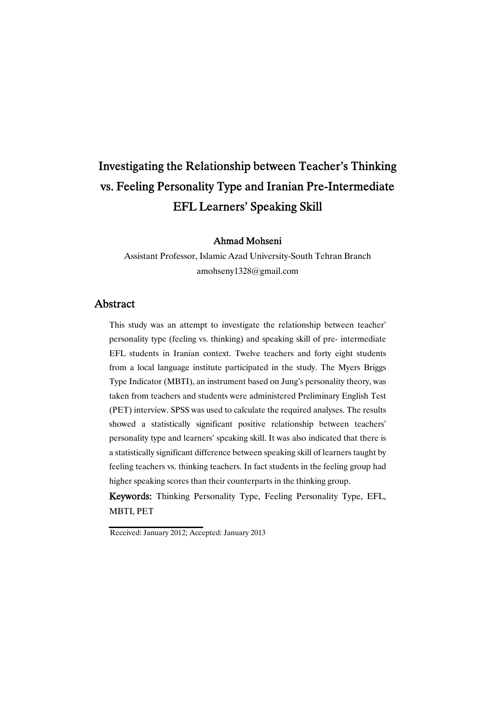# Investigating the Relationship between Teacher's Thinking vs. Feeling Personality Type and Iranian Pre-Intermediate EFL Learners' Speaking Skill

### Ahmad Mohseni

Assistant Professor, Islamic Azad University-South Tehran Branch amohseny1328@gmail.com

### **Abstract**

This study was an attempt to investigate the relationship between teacher' personality type (feeling vs. thinking) and speaking skill of pre- intermediate EFL students in Iranian context. Twelve teachers and forty eight students from a local language institute participated in the study. The Myers Briggs Type Indicator (MBTI), an instrument based on Jung's personality theory, was taken from teachers and students were administered Preliminary English Test (PET) interview. SPSS was used to calculate the required analyses. The results showed a statistically significant positive relationship between teachers' personality type and learners' speaking skill. It was also indicated that there is a statistically significant difference between speaking skill of learners taught by feeling teachers vs. thinking teachers. In fact students in the feeling group had higher speaking scores than their counterparts in the thinking group.

Keywords: Thinking Personality Type, Feeling Personality Type, EFL, MBTI, PET

Received: January 2012; Accepted: January 2013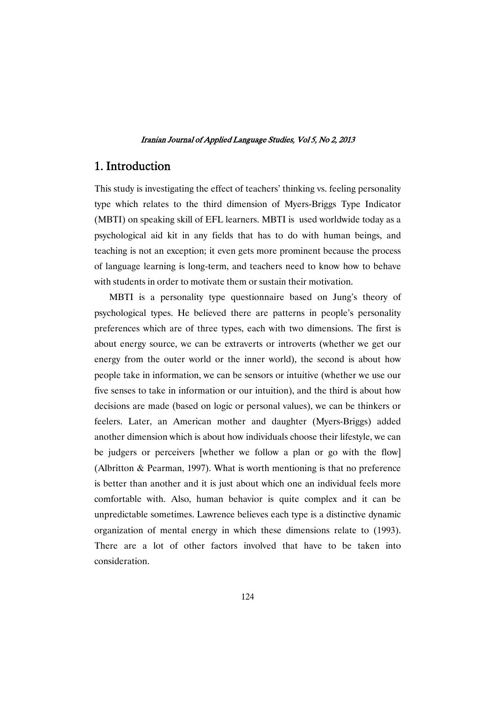# 1. Introduction

This study is investigating the effect of teachers' thinking vs. feeling personality type which relates to the third dimension of Myers-Briggs Type Indicator (MBTI) on speaking skill of EFL learners. MBTI is used worldwide today as a psychological aid kit in any fields that has to do with human beings, and teaching is not an exception; it even gets more prominent because the process of language learning is long-term, and teachers need to know how to behave with students in order to motivate them or sustain their motivation.

MBTI is a personality type questionnaire based on Jung's theory of psychological types. He believed there are patterns in people's personality preferences which are of three types, each with two dimensions. The first is about energy source, we can be extraverts or introverts (whether we get our energy from the outer world or the inner world), the second is about how people take in information, we can be sensors or intuitive (whether we use our five senses to take in information or our intuition), and the third is about how decisions are made (based on logic or personal values), we can be thinkers or feelers. Later, an American mother and daughter (Myers-Briggs) added another dimension which is about how individuals choose their lifestyle, we can be judgers or perceivers [whether we follow a plan or go with the flow] (Albritton & Pearman, 1997). What is worth mentioning is that no preference is better than another and it is just about which one an individual feels more comfortable with. Also, human behavior is quite complex and it can be unpredictable sometimes. Lawrence believes each type is a distinctive dynamic organization of mental energy in which these dimensions relate to (1993). There are a lot of other factors involved that have to be taken into consideration.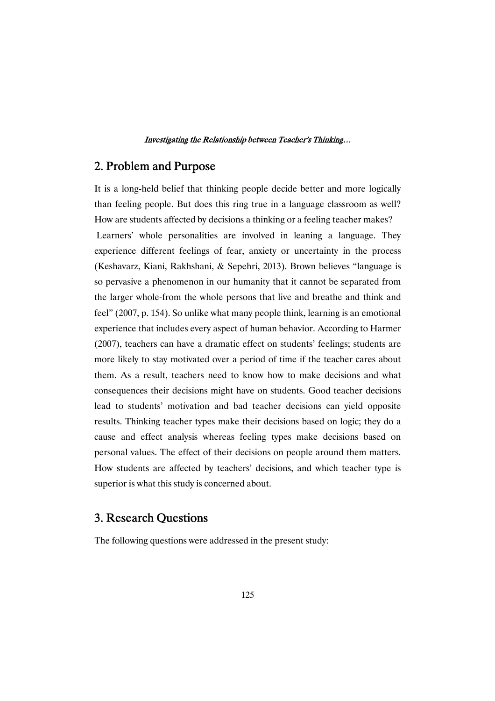# 2. Problem and Purpose

It is a long-held belief that thinking people decide better and more logically than feeling people. But does this ring true in a language classroom as well? How are students affected by decisions a thinking or a feeling teacher makes?

Learners' whole personalities are involved in leaning a language. They experience different feelings of fear, anxiety or uncertainty in the process (Keshavarz, Kiani, Rakhshani, & Sepehri, 2013). Brown believes "language is so pervasive a phenomenon in our humanity that it cannot be separated from the larger whole-from the whole persons that live and breathe and think and feel" (2007, p. 154). So unlike what many people think, learning is an emotional experience that includes every aspect of human behavior. According to Harmer (2007), teachers can have a dramatic effect on students' feelings; students are more likely to stay motivated over a period of time if the teacher cares about them. As a result, teachers need to know how to make decisions and what consequences their decisions might have on students. Good teacher decisions lead to students' motivation and bad teacher decisions can yield opposite results. Thinking teacher types make their decisions based on logic; they do a cause and effect analysis whereas feeling types make decisions based on personal values. The effect of their decisions on people around them matters. How students are affected by teachers' decisions, and which teacher type is superior is what this study is concerned about.

# 3. Research Questions

The following questions were addressed in the present study: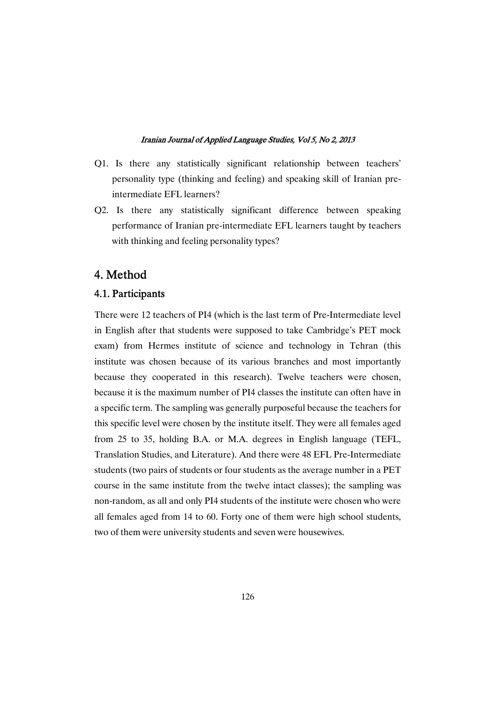- Q1. Is there any statistically significant relationship between teachers' personality type (thinking and feeling) and speaking skill of Iranian preintermediate EFL learners?
- Q2. Is there any statistically significant difference between speaking performance of Iranian pre-intermediate EFL learners taught by teachers with thinking and feeling personality types?

# 4. Method

### 4.1. Participants

There were 12 teachers of PI4 (which is the last term of Pre-Intermediate level in English after that students were supposed to take Cambridge's PET mock exam) from Hermes institute of science and technology in Tehran (this institute was chosen because of its various branches and most importantly because they cooperated in this research). Twelve teachers were chosen, because it is the maximum number of PI4 classes the institute can often have in a specific term. The sampling was generally purposeful because the teachers for this specific level were chosen by the institute itself. They were all females aged from 25 to 35, holding B.A. or M.A. degrees in English language (TEFL, Translation Studies, and Literature). And there were 48 EFL Pre-Intermediate students (two pairs of students or four students as the average number in a PET course in the same institute from the twelve intact classes); the sampling was non-random, as all and only PI4 students of the institute were chosen who were all females aged from 14 to 60. Forty one of them were high school students, two of them were university students and seven were housewives.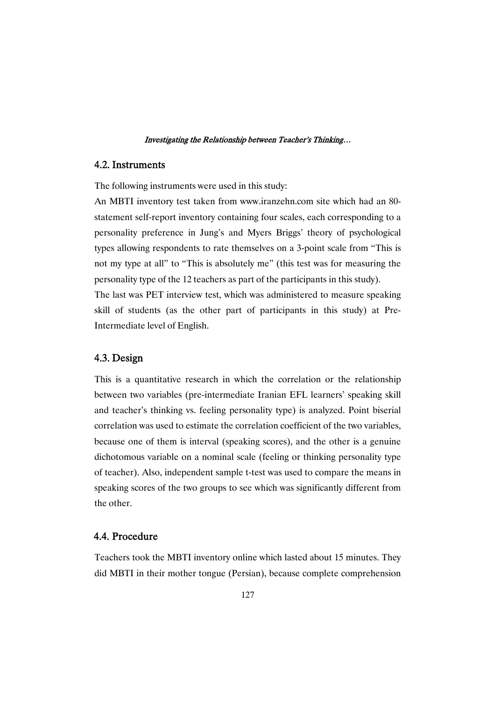### 4.2. Instruments

The following instruments were used in this study:

An MBTI inventory test taken from www.iranzehn.com site which had an 80 statement self-report inventory containing four scales, each corresponding to a personality preference in Jung's and Myers Briggs' theory of psychological types allowing respondents to rate themselves on a 3-point scale from "This is not my type at all" to "This is absolutely me" (this test was for measuring the personality type of the 12 teachers as part of the participants in this study). The last was PET interview test, which was administered to measure speaking

skill of students (as the other part of participants in this study) at Pre-Intermediate level of English.

### 4.3. Design

This is a quantitative research in which the correlation or the relationship between two variables (pre-intermediate Iranian EFL learners' speaking skill and teacher's thinking vs. feeling personality type) is analyzed. Point biserial correlation was used to estimate the correlation coefficient of the two variables, because one of them is interval (speaking scores), and the other is a genuine dichotomous variable on a nominal scale (feeling or thinking personality type of teacher). Also, independent sample t-test was used to compare the means in speaking scores of the two groups to see which was significantly different from the other.

### 4.4. Procedure

Teachers took the MBTI inventory online which lasted about 15 minutes. They did MBTI in their mother tongue (Persian), because complete comprehension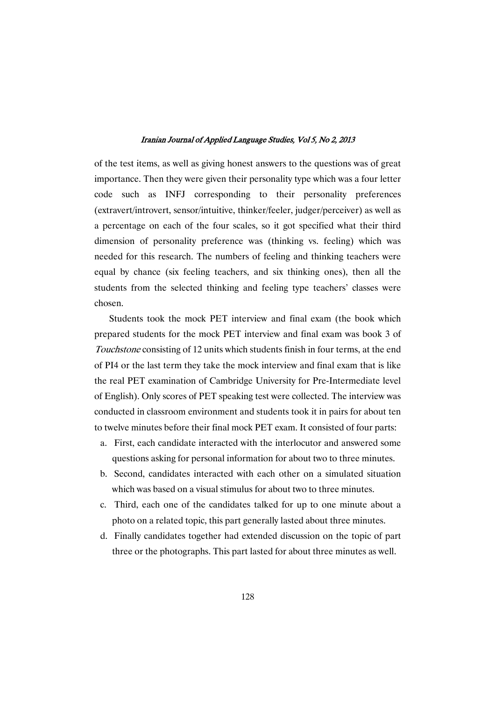of the test items, as well as giving honest answers to the questions was of great importance. Then they were given their personality type which was a four letter code such as INFJ corresponding to their personality preferences (extravert/introvert, sensor/intuitive, thinker/feeler, judger/perceiver) as well as a percentage on each of the four scales, so it got specified what their third dimension of personality preference was (thinking vs. feeling) which was needed for this research. The numbers of feeling and thinking teachers were equal by chance (six feeling teachers, and six thinking ones), then all the students from the selected thinking and feeling type teachers' classes were chosen.

Students took the mock PET interview and final exam (the book which prepared students for the mock PET interview and final exam was book 3 of Touchstone consisting of 12 units which students finish in four terms, at the end of PI4 or the last term they take the mock interview and final exam that is like the real PET examination of Cambridge University for Pre-Intermediate level of English). Only scores of PET speaking test were collected. The interview was conducted in classroom environment and students took it in pairs for about ten to twelve minutes before their final mock PET exam. It consisted of four parts:

- a. First, each candidate interacted with the interlocutor and answered some questions asking for personal information for about two to three minutes.
- b. Second, candidates interacted with each other on a simulated situation which was based on a visual stimulus for about two to three minutes.
- c. Third, each one of the candidates talked for up to one minute about a photo on a related topic, this part generally lasted about three minutes.
- d. Finally candidates together had extended discussion on the topic of part three or the photographs. This part lasted for about three minutes as well.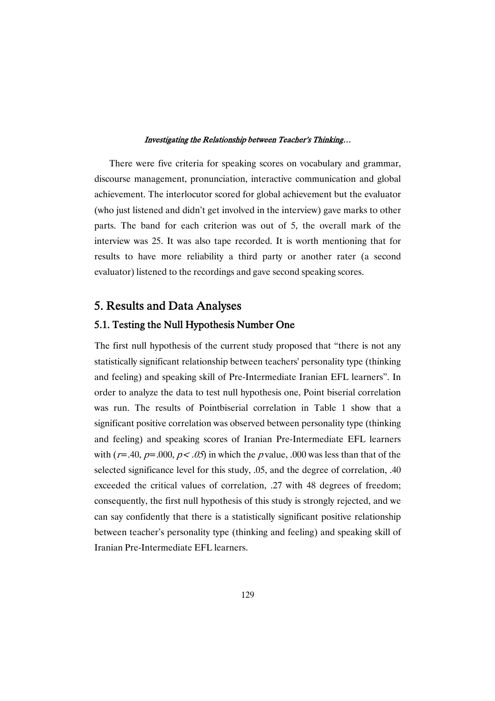There were five criteria for speaking scores on vocabulary and grammar, discourse management, pronunciation, interactive communication and global achievement. The interlocutor scored for global achievement but the evaluator (who just listened and didn't get involved in the interview) gave marks to other parts. The band for each criterion was out of 5, the overall mark of the interview was 25. It was also tape recorded. It is worth mentioning that for results to have more reliability a third party or another rater (a second evaluator) listened to the recordings and gave second speaking scores.

# 5. Results and Data Analyses

### 5.1. Testing the Null Hypothesis Number One

The first null hypothesis of the current study proposed that "there is not any statistically significant relationship between teachers' personality type (thinking and feeling) and speaking skill of Pre-Intermediate Iranian EFL learners". In order to analyze the data to test null hypothesis one, Point biserial correlation was run. The results of Pointbiserial correlation in Table 1 show that a significant positive correlation was observed between personality type (thinking and feeling) and speaking scores of Iranian Pre-Intermediate EFL learners with ( $r=0.40$ ,  $p=0.00$ ,  $p<0.05$ ) in which the p value, .000 was less than that of the selected significance level for this study, .05, and the degree of correlation, .40 exceeded the critical values of correlation, .27 with 48 degrees of freedom; consequently, the first null hypothesis of this study is strongly rejected, and we can say confidently that there is a statistically significant positive relationship between teacher's personality type (thinking and feeling) and speaking skill of Iranian Pre-Intermediate EFL learners.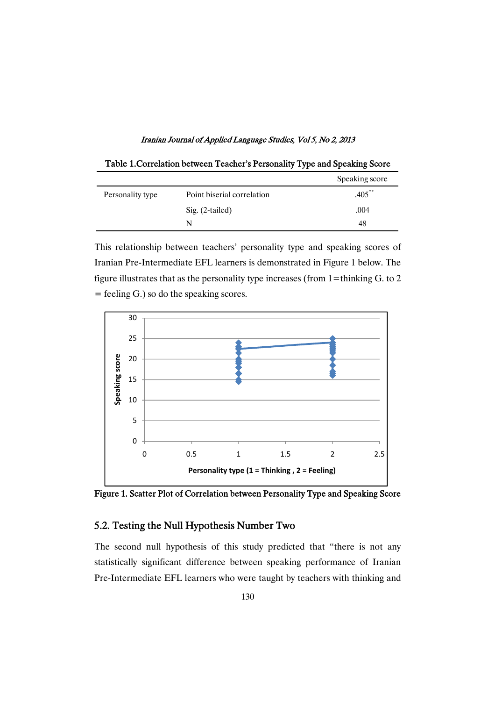Iranian Journal of Applied Language Studies, Vol 5, No 2, 2013

| Table 1. Correlation between Teacher's Personality Type and Speaking Score |                            |           |  |  |  |  |
|----------------------------------------------------------------------------|----------------------------|-----------|--|--|--|--|
| Speaking score                                                             |                            |           |  |  |  |  |
| Personality type                                                           | Point biserial correlation | $.405***$ |  |  |  |  |
|                                                                            | $Sig. (2-tailed)$          | .004      |  |  |  |  |
|                                                                            | N                          | 48        |  |  |  |  |

This relationship between teachers' personality type and speaking scores of Iranian Pre-Intermediate EFL learners is demonstrated in Figure 1 below. The figure illustrates that as the personality type increases (from  $1$ =thinking G. to 2 = feeling G.) so do the speaking scores.



Figure 1. Scatter Plot of Correlation between Personality Type and Speaking Score

### 5.2. Testing the Null Hypothesis Number Two

The second null hypothesis of this study predicted that "there is not any statistically significant difference between speaking performance of Iranian Pre-Intermediate EFL learners who were taught by teachers with thinking and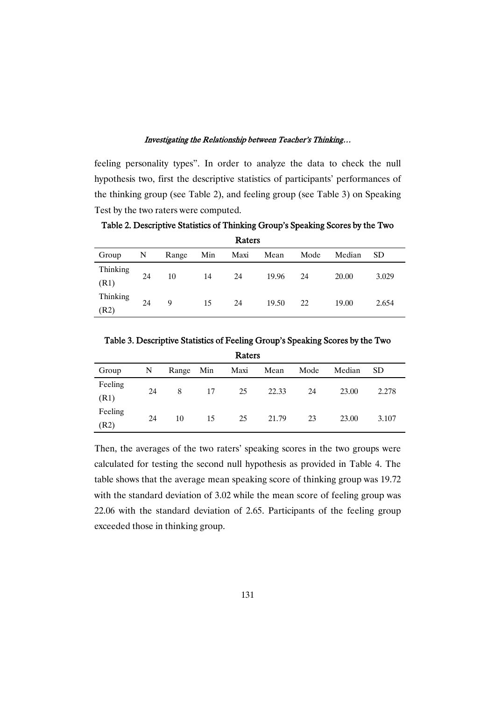feeling personality types". In order to analyze the data to check the null hypothesis two, first the descriptive statistics of participants' performances of the thinking group (see Table 2), and feeling group (see Table 3) on Speaking Test by the two raters were computed.

Table 2. Descriptive Statistics of Thinking Group's Speaking Scores by the Two

| Raters           |    |       |     |      |       |      |        |       |
|------------------|----|-------|-----|------|-------|------|--------|-------|
| Group            | N  | Range | Min | Maxi | Mean  | Mode | Median | SD.   |
| Thinking<br>(R1) | 24 | 10    | 14  | 24   | 19.96 | 24   | 20.00  | 3.029 |
| Thinking<br>(R2) | 24 | 9     | 15  | 24   | 19.50 | 22   | 19.00  | 2.654 |

Table 3. Descriptive Statistics of Feeling Group's Speaking Scores by the Two Raters

| -------         |    |           |    |      |       |      |        |           |
|-----------------|----|-----------|----|------|-------|------|--------|-----------|
| Group           | N  | Range Min |    | Maxi | Mean  | Mode | Median | <b>SD</b> |
| Feeling<br>(R1) | 24 | 8         | 17 | 25   | 22.33 | 24   | 23.00  | 2.278     |
| Feeling<br>(R2) | 24 | 10        | 15 | 25   | 21.79 | 23   | 23.00  | 3.107     |

Then, the averages of the two raters' speaking scores in the two groups were calculated for testing the second null hypothesis as provided in Table 4. The table shows that the average mean speaking score of thinking group was 19.72 with the standard deviation of 3.02 while the mean score of feeling group was 22.06 with the standard deviation of 2.65. Participants of the feeling group exceeded those in thinking group.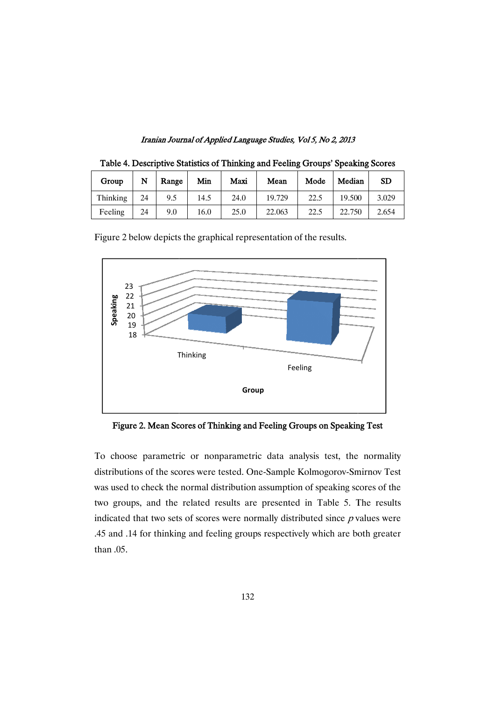Iranian Journal of Applied Language Studies, Vol 5, No 2, 2013

| Group    | N  | Range | Min  | Maxi | Mean   | Mode | Median | <b>SD</b> |
|----------|----|-------|------|------|--------|------|--------|-----------|
| Thinking | 24 | 9.5   | 14.5 | 24.0 | 19.729 | 22.5 | 19.500 | 3.029     |
| Feeling  | 24 | 9.0   | 16.0 | 25.0 | 22.063 | 22.5 | 22.750 | 2.654     |

Table 4. Descriptive Statistics of Thinking and Feeling Groups' Speaking Scores



Figure 2 below depicts the graphical representation of the results.

Figure 2. Mean Scores of Thinking and Feeling Groups on Speaking Test

To choose parametric or nonparametric data analysis test, the normality distributions of the scores were tested. One-Sample Kolmogorov-Smirnov Test was used to check the normal distribution assumption of speaking scores of the two groups, and the related results are presented in Table 5. The results indicated that two sets of scores were normally distributed since  $p$  values were .45 and .14 for thinking and feeling groups respectively which are both greater than .05.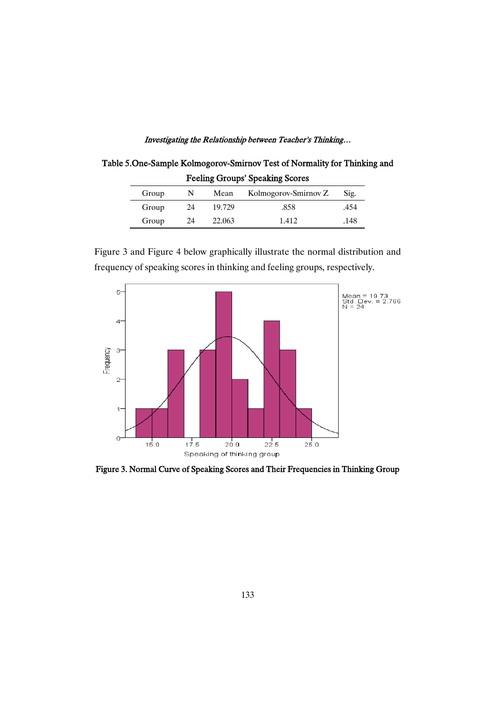Table 5.One-Sample Kolmogorov-Smirnov Test of Normality for Thinking and Feeling Groups' Speaking Scores

| Group |    | Mean   | Kolmogorov-Smirnov Z | Sig. |
|-------|----|--------|----------------------|------|
| Group | 24 | 19.729 | .858                 | .454 |
| Group | 24 | 22,063 | 1.412                | .148 |

Figure 3 and Figure 4 below graphically illustrate the normal distribution and frequency of speaking scores in thinking and feeling groups, respectively.



Figure 3. Normal Curve of Speaking Scores and Their Frequencies in Thinking Group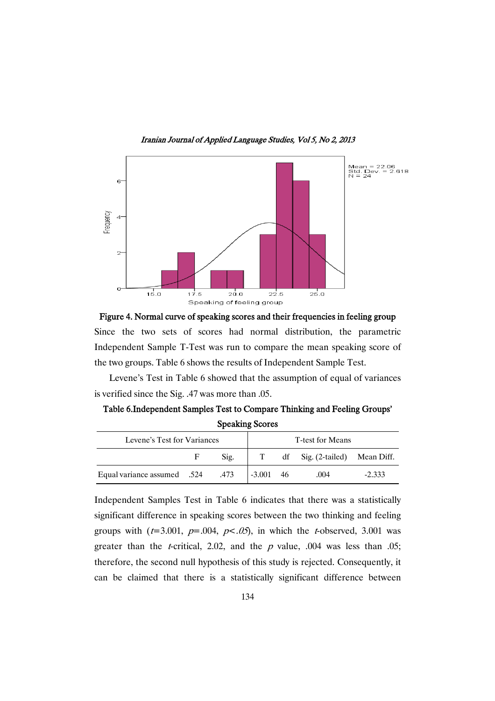Iranian Journal of Applied Language Studies, Vol 5, No 2, 2013



Figure 4. Normal curve of speaking scores and their frequencies in feeling group Since the two sets of scores had normal distribution, the parametric Independent Sample T-Test was run to compare the mean speaking score of the two groups. Table 6 shows the results of Independent Sample Test.

Levene's Test in Table 6 showed that the assumption of equal of variances is verified since the Sig. .47 was more than .05.

Table 6.Independent Samples Test to Compare Thinking and Feeling Groups' Speaking Scores

| Levene's Test for Variances |    | T-test for Means |             |                               |          |
|-----------------------------|----|------------------|-------------|-------------------------------|----------|
|                             | F. | Sig.             | T           | df Sig. (2-tailed) Mean Diff. |          |
| Equal variance assumed .524 |    | .473             | $-3.001$ 46 | .004                          | $-2.333$ |

Independent Samples Test in Table 6 indicates that there was a statistically significant difference in speaking scores between the two thinking and feeling groups with  $(t=3.001, p=.004, p<0.05)$ , in which the *t*-observed, 3.001 was greater than the *t*-critical, 2.02, and the *p* value, .004 was less than .05; therefore, the second null hypothesis of this study is rejected. Consequently, it can be claimed that there is a statistically significant difference between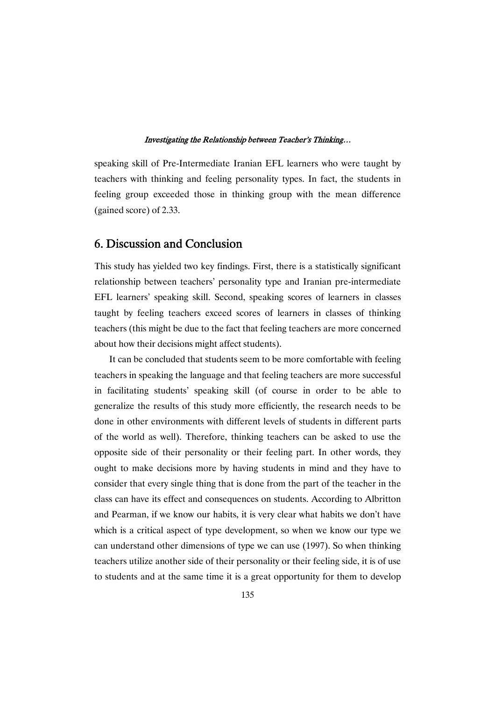speaking skill of Pre-Intermediate Iranian EFL learners who were taught by teachers with thinking and feeling personality types. In fact, the students in feeling group exceeded those in thinking group with the mean difference (gained score) of 2.33.

# 6. Discussion and Conclusion

This study has yielded two key findings. First, there is a statistically significant relationship between teachers' personality type and Iranian pre-intermediate EFL learners' speaking skill. Second, speaking scores of learners in classes taught by feeling teachers exceed scores of learners in classes of thinking teachers (this might be due to the fact that feeling teachers are more concerned about how their decisions might affect students).

It can be concluded that students seem to be more comfortable with feeling teachers in speaking the language and that feeling teachers are more successful in facilitating students' speaking skill (of course in order to be able to generalize the results of this study more efficiently, the research needs to be done in other environments with different levels of students in different parts of the world as well). Therefore, thinking teachers can be asked to use the opposite side of their personality or their feeling part. In other words, they ought to make decisions more by having students in mind and they have to consider that every single thing that is done from the part of the teacher in the class can have its effect and consequences on students. According to Albritton and Pearman, if we know our habits, it is very clear what habits we don't have which is a critical aspect of type development, so when we know our type we can understand other dimensions of type we can use (1997). So when thinking teachers utilize another side of their personality or their feeling side, it is of use to students and at the same time it is a great opportunity for them to develop